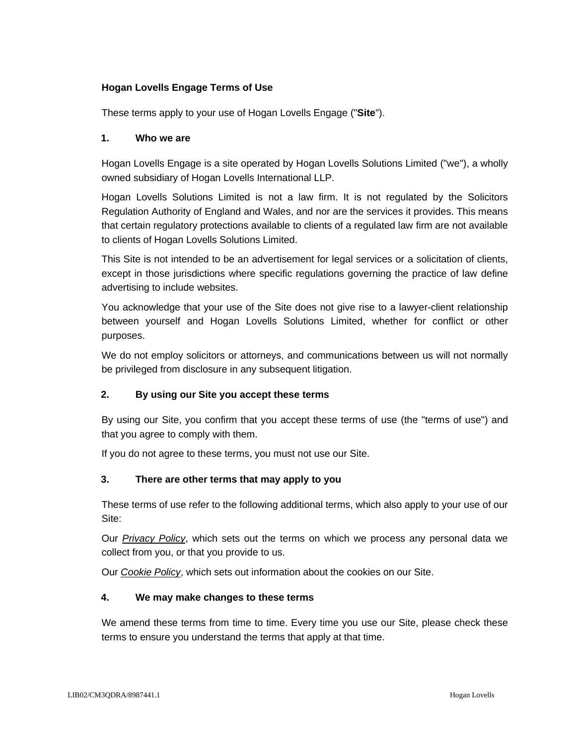# **Hogan Lovells Engage Terms of Use**

These terms apply to your use of Hogan Lovells Engage ("**Site**").

#### **1. Who we are**

Hogan Lovells Engage is a site operated by Hogan Lovells Solutions Limited ("we"), a wholly owned subsidiary of Hogan Lovells International LLP.

Hogan Lovells Solutions Limited is not a law firm. It is not regulated by the Solicitors Regulation Authority of England and Wales, and nor are the services it provides. This means that certain regulatory protections available to clients of a regulated law firm are not available to clients of Hogan Lovells Solutions Limited.

This Site is not intended to be an advertisement for legal services or a solicitation of clients, except in those jurisdictions where specific regulations governing the practice of law define advertising to include websites.

You acknowledge that your use of the Site does not give rise to a lawyer-client relationship between yourself and Hogan Lovells Solutions Limited, whether for conflict or other purposes.

We do not employ solicitors or attorneys, and communications between us will not normally be privileged from disclosure in any subsequent litigation.

#### **2. By using our Site you accept these terms**

By using our Site, you confirm that you accept these terms of use (the "terms of use") and that you agree to comply with them.

If you do not agree to these terms, you must not use our Site.

#### **3. There are other terms that may apply to you**

These terms of use refer to the following additional terms, which also apply to your use of our Site:

Our *[Privacy Policy](http://www.hoganlovells.com/en/privacy)*, which sets out the terms on which we process any personal data we collect from you, or that you provide to us.

Our *[Cookie Policy](http://www.hoganlovells.com/en/cookies)*, which sets out information about the cookies on our Site.

#### **4. We may make changes to these terms**

We amend these terms from time to time. Every time you use our Site, please check these terms to ensure you understand the terms that apply at that time.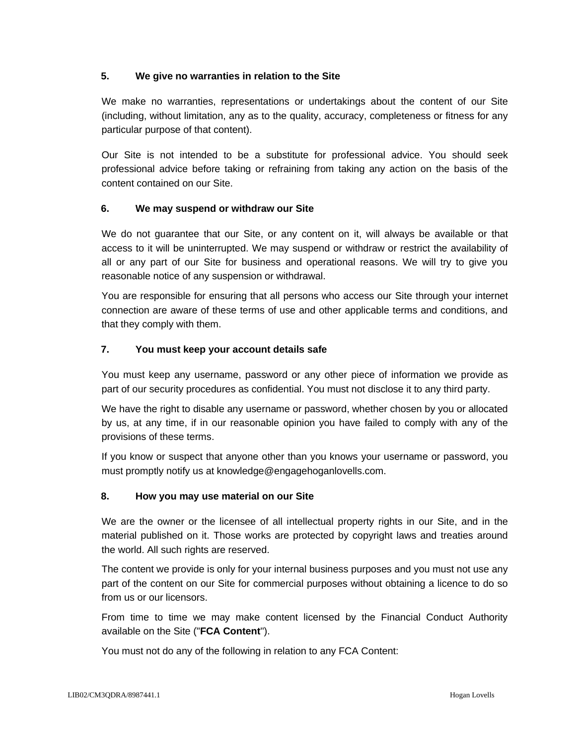## **5. We give no warranties in relation to the Site**

We make no warranties, representations or undertakings about the content of our Site (including, without limitation, any as to the quality, accuracy, completeness or fitness for any particular purpose of that content).

Our Site is not intended to be a substitute for professional advice. You should seek professional advice before taking or refraining from taking any action on the basis of the content contained on our Site.

## **6. We may suspend or withdraw our Site**

We do not guarantee that our Site, or any content on it, will always be available or that access to it will be uninterrupted. We may suspend or withdraw or restrict the availability of all or any part of our Site for business and operational reasons. We will try to give you reasonable notice of any suspension or withdrawal.

You are responsible for ensuring that all persons who access our Site through your internet connection are aware of these terms of use and other applicable terms and conditions, and that they comply with them.

# **7. You must keep your account details safe**

You must keep any username, password or any other piece of information we provide as part of our security procedures as confidential. You must not disclose it to any third party.

We have the right to disable any username or password, whether chosen by you or allocated by us, at any time, if in our reasonable opinion you have failed to comply with any of the provisions of these terms.

If you know or suspect that anyone other than you knows your username or password, you must promptly notify us at knowledge@engagehoganlovells.com.

# **8. How you may use material on our Site**

We are the owner or the licensee of all intellectual property rights in our Site, and in the material published on it. Those works are protected by copyright laws and treaties around the world. All such rights are reserved.

The content we provide is only for your internal business purposes and you must not use any part of the content on our Site for commercial purposes without obtaining a licence to do so from us or our licensors.

From time to time we may make content licensed by the Financial Conduct Authority available on the Site ("**FCA Content**").

You must not do any of the following in relation to any FCA Content: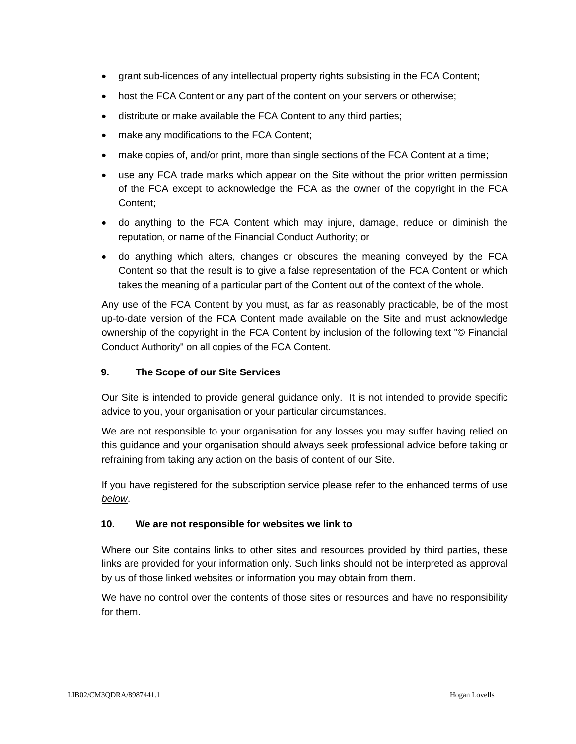- grant sub-licences of any intellectual property rights subsisting in the FCA Content;
- host the FCA Content or any part of the content on your servers or otherwise;
- distribute or make available the FCA Content to any third parties;
- make any modifications to the FCA Content;
- make copies of, and/or print, more than single sections of the FCA Content at a time;
- use any FCA trade marks which appear on the Site without the prior written permission of the FCA except to acknowledge the FCA as the owner of the copyright in the FCA Content;
- do anything to the FCA Content which may injure, damage, reduce or diminish the reputation, or name of the Financial Conduct Authority; or
- do anything which alters, changes or obscures the meaning conveyed by the FCA Content so that the result is to give a false representation of the FCA Content or which takes the meaning of a particular part of the Content out of the context of the whole.

Any use of the FCA Content by you must, as far as reasonably practicable, be of the most up-to-date version of the FCA Content made available on the Site and must acknowledge ownership of the copyright in the FCA Content by inclusion of the following text "© Financial Conduct Authority" on all copies of the FCA Content.

## **9. The Scope of our Site Services**

Our Site is intended to provide general guidance only. It is not intended to provide specific advice to you, your organisation or your particular circumstances.

We are not responsible to your organisation for any losses you may suffer having relied on this guidance and your organisation should always seek professional advice before taking or refraining from taking any action on the basis of content of our Site.

If you have registered for the subscription service please refer to the enhanced terms of use *[below](#page-5-0)*.

#### **10. We are not responsible for websites we link to**

Where our Site contains links to other sites and resources provided by third parties, these links are provided for your information only. Such links should not be interpreted as approval by us of those linked websites or information you may obtain from them.

We have no control over the contents of those sites or resources and have no responsibility for them.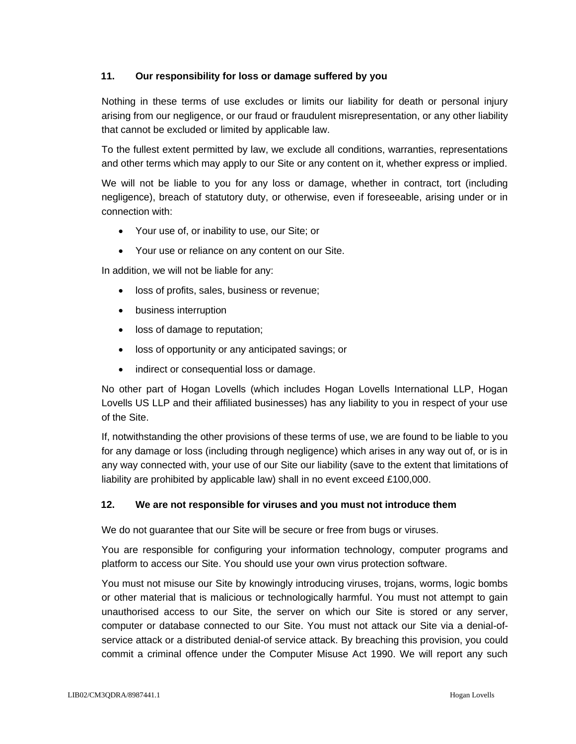## **11. Our responsibility for loss or damage suffered by you**

Nothing in these terms of use excludes or limits our liability for death or personal injury arising from our negligence, or our fraud or fraudulent misrepresentation, or any other liability that cannot be excluded or limited by applicable law.

To the fullest extent permitted by law, we exclude all conditions, warranties, representations and other terms which may apply to our Site or any content on it, whether express or implied.

We will not be liable to you for any loss or damage, whether in contract, tort (including negligence), breach of statutory duty, or otherwise, even if foreseeable, arising under or in connection with:

- Your use of, or inability to use, our Site; or
- Your use or reliance on any content on our Site.

In addition, we will not be liable for any:

- loss of profits, sales, business or revenue;
- business interruption
- loss of damage to reputation;
- loss of opportunity or any anticipated savings; or
- indirect or consequential loss or damage.

No other part of Hogan Lovells (which includes Hogan Lovells International LLP, Hogan Lovells US LLP and their affiliated businesses) has any liability to you in respect of your use of the Site.

If, notwithstanding the other provisions of these terms of use, we are found to be liable to you for any damage or loss (including through negligence) which arises in any way out of, or is in any way connected with, your use of our Site our liability (save to the extent that limitations of liability are prohibited by applicable law) shall in no event exceed £100,000.

#### **12. We are not responsible for viruses and you must not introduce them**

We do not guarantee that our Site will be secure or free from bugs or viruses.

You are responsible for configuring your information technology, computer programs and platform to access our Site. You should use your own virus protection software.

You must not misuse our Site by knowingly introducing viruses, trojans, worms, logic bombs or other material that is malicious or technologically harmful. You must not attempt to gain unauthorised access to our Site, the server on which our Site is stored or any server, computer or database connected to our Site. You must not attack our Site via a denial-ofservice attack or a distributed denial-of service attack. By breaching this provision, you could commit a criminal offence under the Computer Misuse Act 1990. We will report any such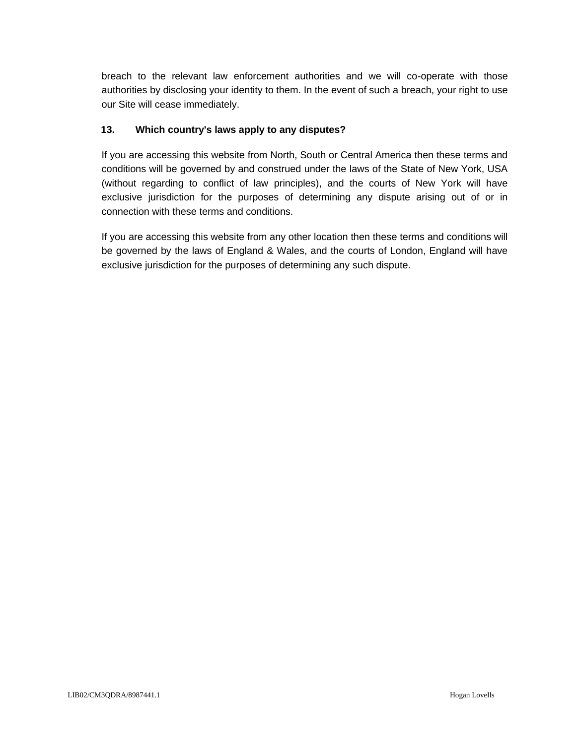breach to the relevant law enforcement authorities and we will co-operate with those authorities by disclosing your identity to them. In the event of such a breach, your right to use our Site will cease immediately.

## **13. Which country's laws apply to any disputes?**

If you are accessing this website from North, South or Central America then these terms and conditions will be governed by and construed under the laws of the State of New York, USA (without regarding to conflict of law principles), and the courts of New York will have exclusive jurisdiction for the purposes of determining any dispute arising out of or in connection with these terms and conditions.

If you are accessing this website from any other location then these terms and conditions will be governed by the laws of England & Wales, and the courts of London, England will have exclusive jurisdiction for the purposes of determining any such dispute.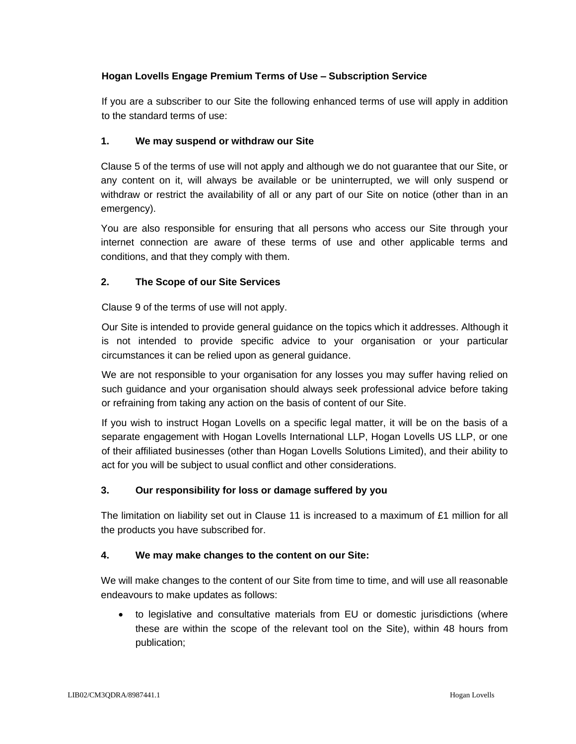## <span id="page-5-0"></span>**Hogan Lovells Engage Premium Terms of Use – Subscription Service**

If you are a subscriber to our Site the following enhanced terms of use will apply in addition to the standard terms of use:

#### **1. We may suspend or withdraw our Site**

Clause 5 of the terms of use will not apply and although we do not guarantee that our Site, or any content on it, will always be available or be uninterrupted, we will only suspend or withdraw or restrict the availability of all or any part of our Site on notice (other than in an emergency).

You are also responsible for ensuring that all persons who access our Site through your internet connection are aware of these terms of use and other applicable terms and conditions, and that they comply with them.

# **2. The Scope of our Site Services**

Clause 9 of the terms of use will not apply.

Our Site is intended to provide general guidance on the topics which it addresses. Although it is not intended to provide specific advice to your organisation or your particular circumstances it can be relied upon as general guidance.

We are not responsible to your organisation for any losses you may suffer having relied on such guidance and your organisation should always seek professional advice before taking or refraining from taking any action on the basis of content of our Site.

If you wish to instruct Hogan Lovells on a specific legal matter, it will be on the basis of a separate engagement with Hogan Lovells International LLP, Hogan Lovells US LLP, or one of their affiliated businesses (other than Hogan Lovells Solutions Limited), and their ability to act for you will be subject to usual conflict and other considerations.

# **3. Our responsibility for loss or damage suffered by you**

The limitation on liability set out in Clause 11 is increased to a maximum of £1 million for all the products you have subscribed for.

# **4. We may make changes to the content on our Site:**

We will make changes to the content of our Site from time to time, and will use all reasonable endeavours to make updates as follows:

• to legislative and consultative materials from EU or domestic jurisdictions (where these are within the scope of the relevant tool on the Site), within 48 hours from publication;